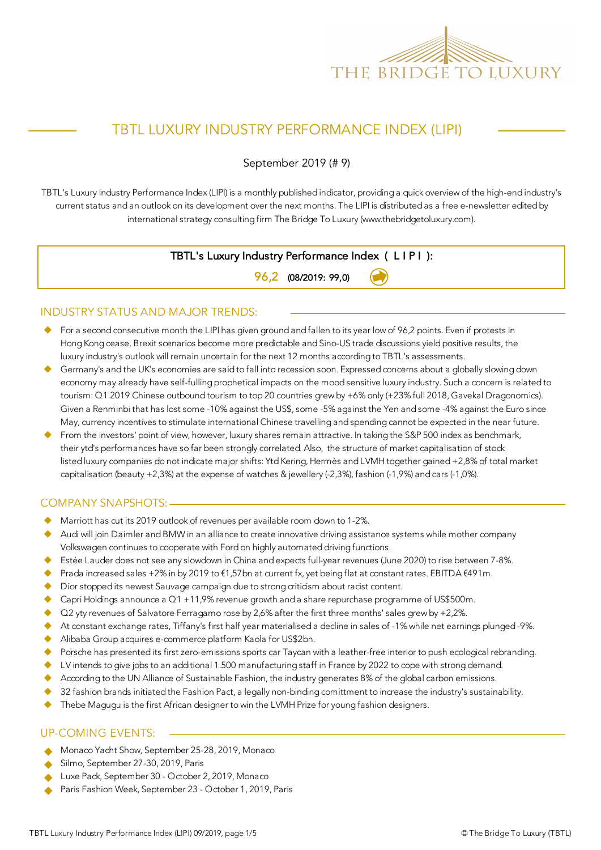

## TBTL LUXURY INDUSTRY PERFORMANCE INDEX (LIPI)

September 2019 (# 9)

TBTL's Luxury Industry Performance Index (LIPI) is a monthly published indicator, providing a quick overview of the high-end industry's current status and an outlook on its development over the next months. The LIPI is distributed as a free e-newsletter edited by international strategy consulting firm The Bridge To Luxury (www.thebridgetoluxury.com).

#### TBTL's Luxury Industry Performance Index ( L I P I ):

96,2 (08/2019: 99,0)

#### INDUSTRY STATUS AND MAJOR TRENDS:

- For a second consecutive month the LIPI has given ground and fallen to its year low of 96,2 points. Even if protests in Hong Kong cease, Brexit scenarios become more predictable and Sino-US trade discussions yield positive results, the luxury industry's outlook will remain uncertain for the next 12 months according to TBTL's assessments.
- Germany's and the UK's economies are said to fall into recession soon. Expressed concerns about a globally slowing down economy may already have self-fulling prophetical impacts on the mood sensitive luxury industry. Such a concern is related to tourism: Q1 2019 Chinese outbound tourism to top 20 countries grew by +6% only (+23% full 2018, Gavekal Dragonomics). Given a Renminbi that has lost some -10% against the US\$, some -5% against the Yen and some -4% against the Euro since May, currency incentives to stimulate international Chinese travelling and spending cannot be expected in the near future.
- From the investors' point of view, however, luxury shares remain attractive. In taking the S&P 500 index as benchmark, their ytd's performances have so far been strongly correlated. Also, the structure of market capitalisation of stock listed luxury companies do not indicate major shifts: Ytd Kering, Hermès and LVMH together gained +2,8% of total market capitalisation (beauty +2,3%) at the expense of watches & jewellery (-2,3%), fashion (-1,9%) and cars (-1,0%).

#### COMPANY SNAPSHOTS:

- Marriott has cut its 2019 outlook of revenues per available room down to 1-2%.
- Audi will join Daimler and BMW in an alliance to create innovative driving assistance systems while mother company Volkswagen continues to cooperate with Ford on highly automated driving functions.
- Estée Lauder does not see any slowdown in China and expects full-year revenues (June 2020) to rise between 7-8%.
- Prada increased sales +2% in by 2019 to €1,57bn at current fx, yet being flat at constant rates. EBITDA €491m.
- Dior stopped its newest Sauvage campaign due to strong criticism about racist content.
- Capri Holdings announce a Q1 +11,9% revenue growth and a share repurchase programme of US\$500m.
- Q2 yty revenues of Salvatore Ferragamo rose by 2,6% after the first three months' sales grew by +2,2%.
- ◆ At constant exchange rates, Tiffany's first half year materialised a decline in sales of -1% while net earnings plunged -9%.
- Alibaba Group acquires e-commerce platform Kaola for US\$2bn.
- Porsche has presented its first zero-emissions sports car Taycan with a leather-free interior to push ecological rebranding.
- $\blacklozenge$  LV intends to give jobs to an additional 1.500 manufacturing staff in France by 2022 to cope with strong demand.
- According to the UN Alliance of Sustainable Fashion, the industry generates 8% of the global carbon emissions.
- 32 fashion brands initiated the Fashion Pact, a legally non-binding comittment to increase the industry's sustainability.
- Thebe Magugu is the first African designer to win the LVMH Prize for young fashion designers.

#### UP-COMING EVENTS:

- Monaco Yacht Show, September 25-28, 2019, Monaco
- Silmo, September 27-30, 2019, Paris
- Luxe Pack, September 30 October 2, 2019, Monaco
- Paris Fashion Week, September 23 October 1, 2019, Paris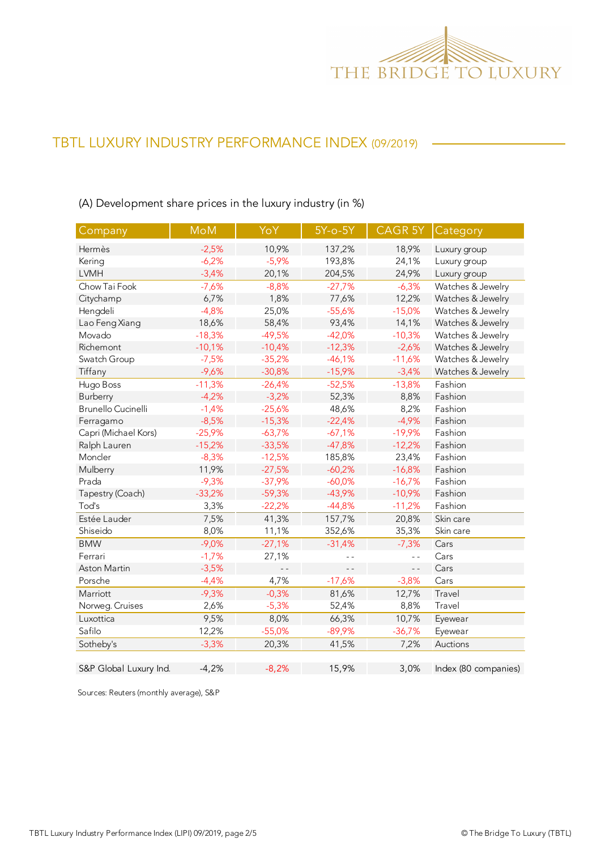

(A) Development share prices in the luxury industry (in %)

| Company                | <b>MoM</b> | YoY      | $5Y$ -o- $5Y$ | <b>CAGR 5Y</b> | Category             |
|------------------------|------------|----------|---------------|----------------|----------------------|
| Hermès                 | $-2,5%$    | 10,9%    | 137,2%        | 18,9%          | Luxury group         |
| Kering                 | $-6,2%$    | $-5,9%$  | 193,8%        | 24,1%          | Luxury group         |
| <b>LVMH</b>            | $-3,4%$    | 20,1%    | 204,5%        | 24,9%          | Luxury group         |
| Chow Tai Fook          | $-7,6%$    | $-8,8%$  | $-27,7%$      | $-6,3%$        | Watches & Jewelry    |
| Citychamp              | 6,7%       | 1,8%     | 77,6%         | 12,2%          | Watches & Jewelry    |
| Hengdeli               | $-4,8%$    | 25,0%    | $-55,6%$      | $-15,0%$       | Watches & Jewelry    |
| Lao Feng Xiang         | 18,6%      | 58,4%    | 93,4%         | 14,1%          | Watches & Jewelry    |
| Movado                 | $-18,3%$   | $-49,5%$ | $-42,0%$      | $-10,3%$       | Watches & Jewelry    |
| Richemont              | $-10,1%$   | $-10,4%$ | $-12,3%$      | $-2,6%$        | Watches & Jewelry    |
| Swatch Group           | $-7,5%$    | $-35,2%$ | $-46,1%$      | $-11,6%$       | Watches & Jewelry    |
| Tiffany                | $-9,6%$    | $-30,8%$ | $-15,9%$      | $-3,4%$        | Watches & Jewelry    |
| Hugo Boss              | $-11,3%$   | $-26,4%$ | $-52,5%$      | $-13,8%$       | Fashion              |
| Burberry               | $-4,2%$    | $-3,2%$  | 52,3%         | 8,8%           | Fashion              |
| Brunello Cucinelli     | $-1,4%$    | $-25,6%$ | 48,6%         | 8,2%           | Fashion              |
| Ferragamo              | $-8,5%$    | $-15,3%$ | $-22,4%$      | $-4,9%$        | Fashion              |
| Capri (Michael Kors)   | $-25,9%$   | $-63,7%$ | $-67,1%$      | $-19,9%$       | Fashion              |
| Ralph Lauren           | $-15,2%$   | $-33,5%$ | $-47,8%$      | $-12,2%$       | Fashion              |
| Moncler                | $-8,3%$    | $-12,5%$ | 185,8%        | 23,4%          | Fashion              |
| Mulberry               | 11,9%      | $-27,5%$ | $-60,2%$      | $-16,8%$       | Fashion              |
| Prada                  | $-9,3%$    | $-37,9%$ | $-60,0%$      | $-16,7%$       | Fashion              |
| Tapestry (Coach)       | $-33,2%$   | $-59,3%$ | $-43,9%$      | $-10,9%$       | Fashion              |
| Tod's                  | 3,3%       | $-22,2%$ | $-44,8%$      | $-11,2%$       | Fashion              |
| Estée Lauder           | 7,5%       | 41,3%    | 157,7%        | 20,8%          | Skin care            |
| Shiseido               | 8,0%       | 11,1%    | 352,6%        | 35,3%          | Skin care            |
| <b>BMW</b>             | $-9,0%$    | $-27,1%$ | $-31,4%$      | $-7,3%$        | Cars                 |
| Ferrari                | $-1,7%$    | 27,1%    | $ -$          | $\overline{a}$ | Cars                 |
| Aston Martin           | $-3,5%$    | $ -$     | $ -$          | $ -$           | Cars                 |
| Porsche                | $-4,4%$    | 4,7%     | $-17,6%$      | $-3,8%$        | Cars                 |
| Marriott               | $-9,3%$    | $-0,3%$  | 81,6%         | 12,7%          | Travel               |
| Norweg. Cruises        | 2,6%       | $-5,3%$  | 52,4%         | 8,8%           | Travel               |
| Luxottica              | 9,5%       | 8,0%     | 66,3%         | 10,7%          | Eyewear              |
| Safilo                 | 12,2%      | $-55,0%$ | $-89,9%$      | $-36,7%$       | Eyewear              |
| Sotheby's              | $-3,3%$    | 20,3%    | 41,5%         | 7,2%           | Auctions             |
| S&P Global Luxury Ind. | $-4,2%$    | $-8,2%$  | 15,9%         | 3,0%           | Index (80 companies) |

Sources: Reuters (monthly average), S&P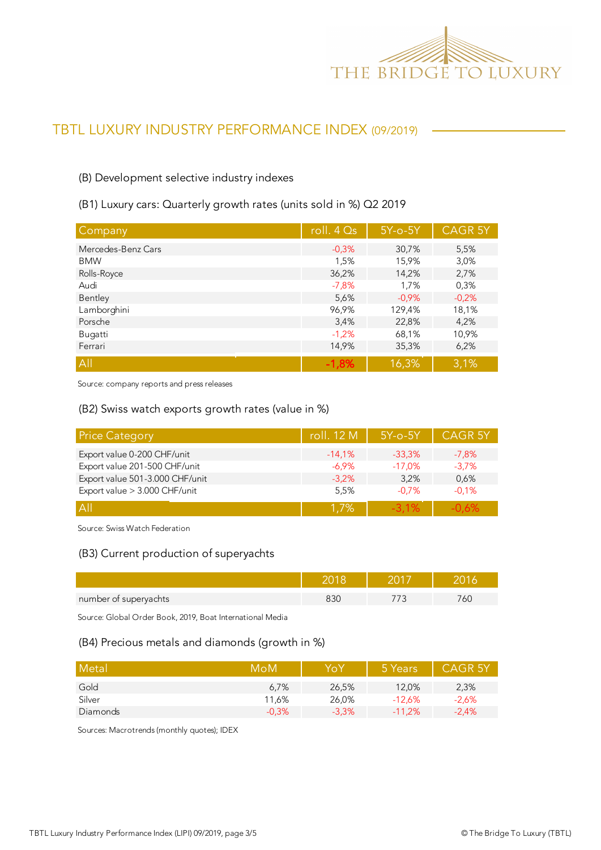

#### (B) Development selective industry indexes

#### (B1) Luxury cars: Quarterly growth rates (units sold in %) Q2 2019

| Company            | roll. $4Qs$ | $5Y$ -o- $5Y$ | <b>CAGR 5Y</b> |
|--------------------|-------------|---------------|----------------|
| Mercedes-Benz Cars | $-0.3%$     | 30,7%         | 5,5%           |
| <b>BMW</b>         | 1,5%        | 15,9%         | 3,0%           |
| Rolls-Royce        | 36,2%       | 14,2%         | 2,7%           |
| Audi               | $-7,8%$     | 1,7%          | 0,3%           |
| Bentley            | 5,6%        | $-0.9%$       | $-0,2%$        |
| Lamborghini        | 96,9%       | 129,4%        | 18,1%          |
| Porsche            | 3,4%        | 22,8%         | 4,2%           |
| Bugatti            | $-1,2%$     | 68,1%         | 10,9%          |
| Ferrari            | 14,9%       | 35,3%         | 6,2%           |
| All                | $-1,8%$     | 16,3%         | 3,1%           |

Source: company reports and press releases

#### (B2) Swiss watch exports growth rates (value in %)

| <b>Price Category</b>           | roll. 12 M | $5Y$ -o- $5Y$ | <b>CAGR 5Y</b> |
|---------------------------------|------------|---------------|----------------|
| Export value 0-200 CHF/unit     | $-14,1%$   | $-33,3%$      | $-7.8%$        |
| Export value 201-500 CHF/unit   | $-6.9\%$   | $-17,0%$      | $-3.7%$        |
| Export value 501-3.000 CHF/unit | $-3.2%$    | 3.2%          | 0,6%           |
| Export value > 3.000 CHF/unit   | 5,5%       | $-0.7%$       | $-0.1%$        |
| A                               | 1.7%       | $-3.1\%$      | $-0.6%$        |

Source: Swiss Watch Federation

#### (B3) Current production of superyachts

| number of superyachts |  | 6L |
|-----------------------|--|----|

Source: Global Order Book, 2019, Boat International Media

#### (B4) Precious metals and diamonds (growth in %)

| Metal    | MoM     | YoY     | 5 Years  | <b>CAGR 5Y</b> |
|----------|---------|---------|----------|----------------|
| Gold     | 6.7%    | 26.5%   | 12.0%    | 2,3%           |
| Silver   | 11,6%   | 26,0%   | $-12.6%$ | $-2.6%$        |
| Diamonds | $-0.3%$ | $-3.3%$ | $-11.2%$ | $-2.4%$        |

Sources: Macrotrends (monthly quotes); IDEX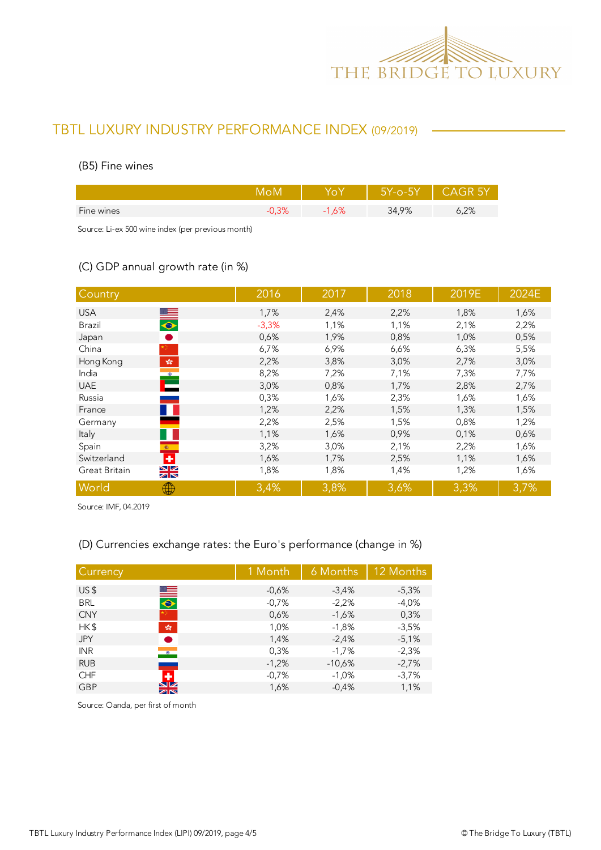

#### (B5) Fine wines

|            |     | $5Y-0-5Y$ | CAGR 5Y |
|------------|-----|-----------|---------|
| Fine wines | .6% | 34,9%     | 5,2%    |
|            |     |           |         |

Source: Li-ex 500 wine index (per previous month)

### (C) GDP annual growth rate (in %)

| Country                                                                            | 2016    | 2017 | 2018 | 2019E | 2024E |
|------------------------------------------------------------------------------------|---------|------|------|-------|-------|
| <b>USA</b>                                                                         | 1,7%    | 2,4% | 2,2% | 1,8%  | 1,6%  |
| $\frac{1}{\sqrt{2}}$<br>Brazil                                                     | $-3,3%$ | 1,1% | 1,1% | 2,1%  | 2,2%  |
| $\bullet$<br>Japan                                                                 | 0,6%    | 1,9% | 0,8% | 1,0%  | 0,5%  |
| China                                                                              | 6,7%    | 6,9% | 6,6% | 6,3%  | 5,5%  |
| Hong Kong<br>$\mathcal{P}^{\mathcal{S}^{\mathcal{S}}}_{\mathcal{S}^{\mathcal{S}}}$ | 2,2%    | 3,8% | 3,0% | 2,7%  | 3,0%  |
| India                                                                              | 8,2%    | 7,2% | 7,1% | 7,3%  | 7,7%  |
| $\mathbf{C}$<br><b>UAE</b>                                                         | 3,0%    | 0,8% | 1,7% | 2,8%  | 2,7%  |
| Russia                                                                             | 0,3%    | 1,6% | 2,3% | 1,6%  | 1,6%  |
| France                                                                             | 1,2%    | 2,2% | 1,5% | 1,3%  | 1,5%  |
| Germany                                                                            | 2,2%    | 2,5% | 1,5% | 0,8%  | 1,2%  |
| Italy                                                                              | 1,1%    | 1,6% | 0,9% | 0,1%  | 0,6%  |
| Spain<br>$\langle \hat{\mathbf{x}} \rangle$ .                                      | 3,2%    | 3,0% | 2,1% | 2,2%  | 1,6%  |
| ٠<br>Switzerland                                                                   | 1,6%    | 1,7% | 2,5% | 1,1%  | 1,6%  |
| $\frac{N}{N}$<br>Great Britain                                                     | 1,8%    | 1,8% | 1,4% | 1,2%  | 1,6%  |
| World<br>₩                                                                         | 3,4%    | 3,8% | 3,6% | 3,3%  | 3,7%  |

Source: IMF, 04.2019

### (D) Currencies exchange rates: the Euro's performance (change in %)

| Currency        |                              | 1 Month | 6 Months | 12 Months |
|-----------------|------------------------------|---------|----------|-----------|
| US <sub>5</sub> |                              | $-0.6%$ | $-3,4%$  | $-5,3%$   |
| <b>BRL</b>      | $\blacksquare$               | $-0,7%$ | $-2,2%$  | $-4,0%$   |
| <b>CNY</b>      |                              | 0,6%    | $-1,6%$  | 0,3%      |
| HK\$            | $\frac{\sqrt{3}}{2\sqrt{3}}$ | 1,0%    | $-1,8%$  | $-3,5%$   |
| <b>JPY</b>      | Ð                            | 1,4%    | $-2,4%$  | $-5,1%$   |
| <b>INR</b>      | $\bullet$                    | 0,3%    | $-1,7%$  | $-2,3%$   |
| <b>RUB</b>      |                              | $-1,2%$ | $-10,6%$ | $-2,7%$   |
| <b>CHF</b>      | ٠                            | $-0,7%$ | $-1,0%$  | $-3,7%$   |
| <b>GBP</b>      | $\frac{N}{N}$                | 1,6%    | $-0.4%$  | 1,1%      |

Source: Oanda, per first of month